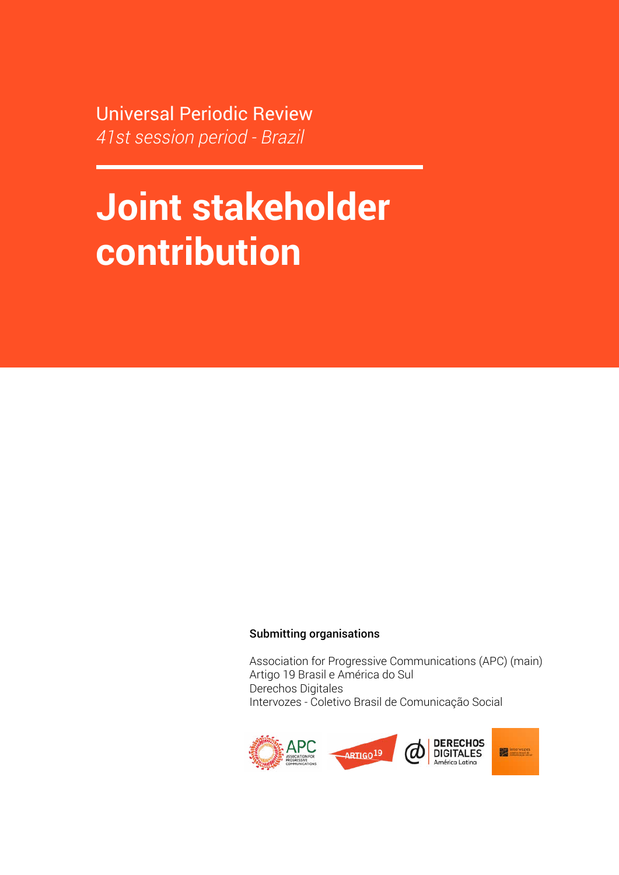Universal Periodic Review *41st session period - Brazil*

# **Joint stakeholder contribution**

#### Submitting organisations

Association for Progressive Communications (APC) (main) Artigo 19 Brasil e América do Sul Derechos Digitales Intervozes - Coletivo Brasil de Comunicação Social

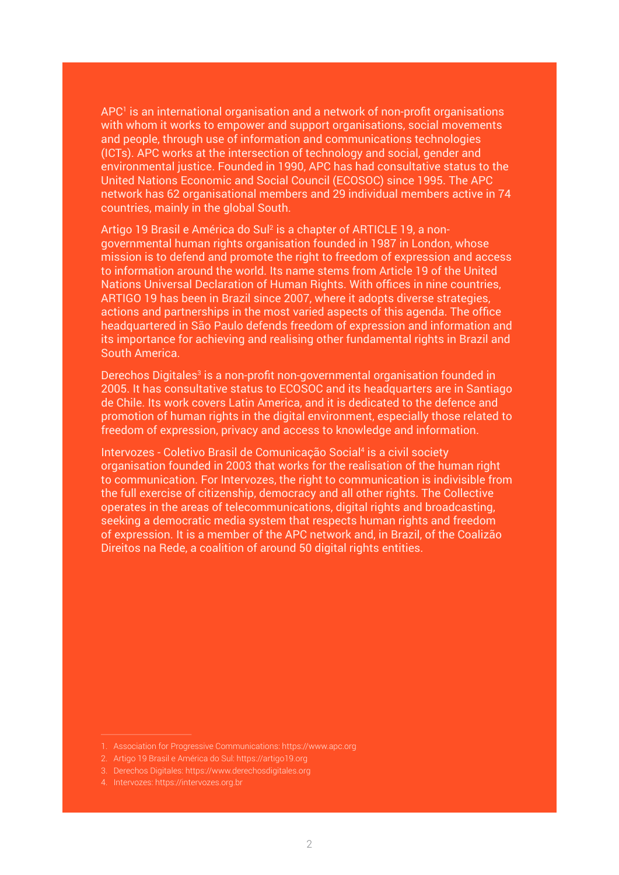APC<sup>1</sup> is an international organisation and a network of non-profit organisations with whom it works to empower and support organisations, social movements and people, through use of information and communications technologies (ICTs). APC works at the intersection of technology and social, gender and environmental justice. Founded in 1990, APC has had consultative status to the United Nations Economic and Social Council (ECOSOC) since 1995. The APC network has 62 organisational members and 29 individual members active in 74 countries, mainly in the global South.

Artigo 19 Brasil e América do Sul² is a chapter of ARTICLE 19, a nongovernmental human rights organisation founded in 1987 in London, whose mission is to defend and promote the right to freedom of expression and access to information around the world. Its name stems from Article 19 of the United Nations Universal Declaration of Human Rights. With offices in nine countries, ARTIGO 19 has been in Brazil since 2007, where it adopts diverse strategies, actions and partnerships in the most varied aspects of this agenda. The office headquartered in São Paulo defends freedom of expression and information and its importance for achieving and realising other fundamental rights in Brazil and South America.

Derechos Digitales<sup>3</sup> is a non-profit non-governmental organisation founded in 2005. It has consultative status to ECOSOC and its headquarters are in Santiago de Chile. Its work covers Latin America, and it is dedicated to the defence and promotion of human rights in the digital environment, especially those related to freedom of expression, privacy and access to knowledge and information.

Intervozes - Coletivo Brasil de Comunicação Social<sup>4</sup> is a civil society organisation founded in 2003 that works for the realisation of the human right to communication. For Intervozes, the right to communication is indivisible from the full exercise of citizenship, democracy and all other rights. The Collective operates in the areas of telecommunications, digital rights and broadcasting, seeking a democratic media system that respects human rights and freedom of expression. It is a member of the APC network and, in Brazil, of the Coalizão Direitos na Rede, a coalition of around 50 digital rights entities.

<sup>1.</sup> Association for Progressive Communications:<https://www.apc.org>

<sup>2.</sup> Artigo 19 Brasil e América do Sul: <https://artigo19.org>

<sup>3.</sup> Derechos Digitales:<https://www.derechosdigitales.org>

<sup>4.</sup> Intervozes:<https://intervozes.org.br>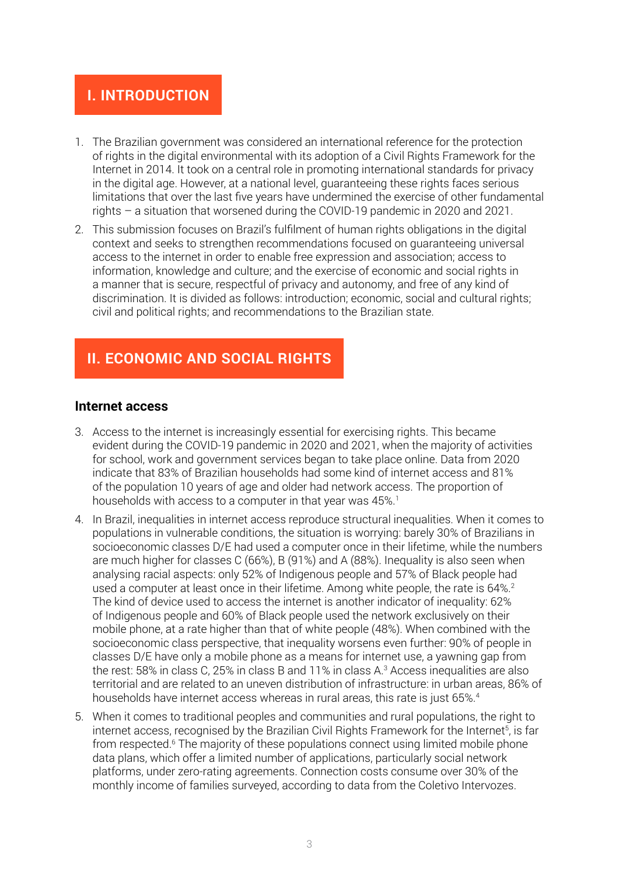## **I. INTRODUCTION**

- 1. The Brazilian government was considered an international reference for the protection of rights in the digital environmental with its adoption of a Civil Rights Framework for the Internet in 2014. It took on a central role in promoting international standards for privacy in the digital age. However, at a national level, guaranteeing these rights faces serious limitations that over the last five years have undermined the exercise of other fundamental rights – a situation that worsened during the COVID-19 pandemic in 2020 and 2021.
- 2. This submission focuses on Brazil's fulfilment of human rights obligations in the digital context and seeks to strengthen recommendations focused on guaranteeing universal access to the internet in order to enable free expression and association; access to information, knowledge and culture; and the exercise of economic and social rights in a manner that is secure, respectful of privacy and autonomy, and free of any kind of discrimination. It is divided as follows: introduction; economic, social and cultural rights; civil and political rights; and recommendations to the Brazilian state.

# **II. ECONOMIC AND SOCIAL RIGHTS**

## **Internet access**

- 3. Access to the internet is increasingly essential for exercising rights. This became evident during the COVID-19 pandemic in 2020 and 2021, when the majority of activities for school, work and government services began to take place online. Data from 2020 indicate that 83% of Brazilian households had some kind of internet access and 81% of the population 10 years of age and older had network access. The proportion of households with access to a computer in that year was 45%.<sup>1</sup>
- 4. In Brazil, inequalities in internet access reproduce structural inequalities. When it comes to populations in vulnerable conditions, the situation is worrying: barely 30% of Brazilians in socioeconomic classes D/E had used a computer once in their lifetime, while the numbers are much higher for classes C (66%), B (91%) and A (88%). Inequality is also seen when analysing racial aspects: only 52% of Indigenous people and 57% of Black people had used a computer at least once in their lifetime. Among white people, the rate is 64%.<sup>2</sup> The kind of device used to access the internet is another indicator of inequality: 62% of Indigenous people and 60% of Black people used the network exclusively on their mobile phone, at a rate higher than that of white people (48%). When combined with the socioeconomic class perspective, that inequality worsens even further: 90% of people in classes D/E have only a mobile phone as a means for internet use, a yawning gap from the rest: 58% in class C, 25% in class B and 11% in class A.3 Access inequalities are also territorial and are related to an uneven distribution of infrastructure: in urban areas, 86% of households have internet access whereas in rural areas, this rate is just 65%.<sup>4</sup>
- 5. When it comes to traditional peoples and communities and rural populations, the right to internet access, recognised by the Brazilian Civil Rights Framework for the Internet5, is far from respected.<sup>6</sup> The majority of these populations connect using limited mobile phone data plans, which offer a limited number of applications, particularly social network platforms, under zero-rating agreements. Connection costs consume over 30% of the monthly income of families surveyed, according to data from the Coletivo Intervozes.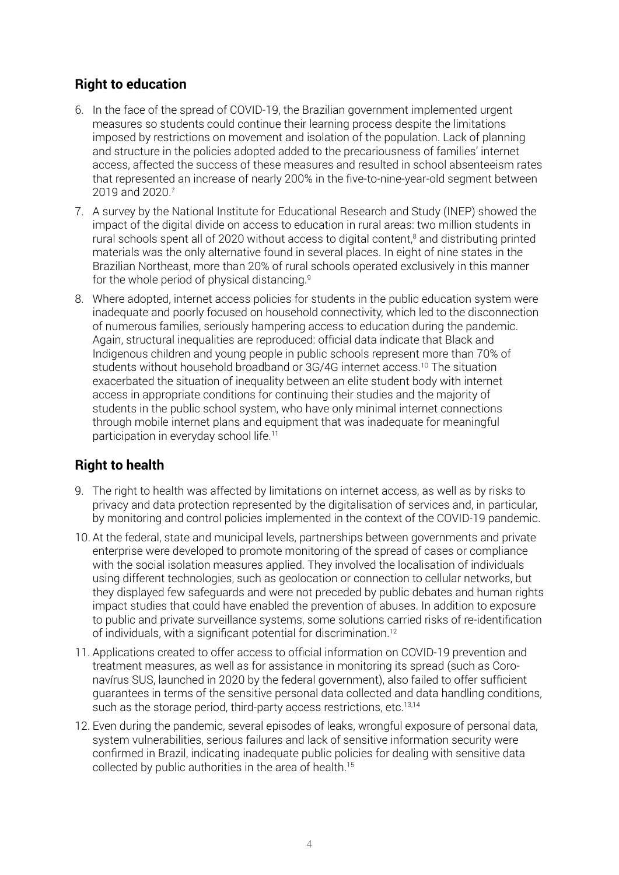## **Right to education**

- 6. In the face of the spread of COVID-19, the Brazilian government implemented urgent measures so students could continue their learning process despite the limitations imposed by restrictions on movement and isolation of the population. Lack of planning and structure in the policies adopted added to the precariousness of families' internet access, affected the success of these measures and resulted in school absenteeism rates that represented an increase of nearly 200% in the five-to-nine-year-old segment between 2019 and 2020.7
- 7. A survey by the National Institute for Educational Research and Study (INEP) showed the impact of the digital divide on access to education in rural areas: two million students in rural schools spent all of 2020 without access to digital content,<sup>8</sup> and distributing printed materials was the only alternative found in several places. In eight of nine states in the Brazilian Northeast, more than 20% of rural schools operated exclusively in this manner for the whole period of physical distancing.9
- 8. Where adopted, internet access policies for students in the public education system were inadequate and poorly focused on household connectivity, which led to the disconnection of numerous families, seriously hampering access to education during the pandemic. Again, structural inequalities are reproduced: official data indicate that Black and Indigenous children and young people in public schools represent more than 70% of students without household broadband or 3G/4G internet access.<sup>10</sup> The situation exacerbated the situation of inequality between an elite student body with internet access in appropriate conditions for continuing their studies and the majority of students in the public school system, who have only minimal internet connections through mobile internet plans and equipment that was inadequate for meaningful participation in everyday school life.<sup>11</sup>

## **Right to health**

- 9. The right to health was affected by limitations on internet access, as well as by risks to privacy and data protection represented by the digitalisation of services and, in particular, by monitoring and control policies implemented in the context of the COVID-19 pandemic.
- 10. At the federal, state and municipal levels, partnerships between governments and private enterprise were developed to promote monitoring of the spread of cases or compliance with the social isolation measures applied. They involved the localisation of individuals using different technologies, such as geolocation or connection to cellular networks, but they displayed few safeguards and were not preceded by public debates and human rights impact studies that could have enabled the prevention of abuses. In addition to exposure to public and private surveillance systems, some solutions carried risks of re-identification of individuals, with a significant potential for discrimination.<sup>12</sup>
- 11. Applications created to offer access to official information on COVID-19 prevention and treatment measures, as well as for assistance in monitoring its spread (such as Coronavírus SUS, launched in 2020 by the federal government), also failed to offer sufficient guarantees in terms of the sensitive personal data collected and data handling conditions, such as the storage period, third-party access restrictions, etc.<sup>13,14</sup>
- 12. Even during the pandemic, several episodes of leaks, wrongful exposure of personal data, system vulnerabilities, serious failures and lack of sensitive information security were confirmed in Brazil, indicating inadequate public policies for dealing with sensitive data collected by public authorities in the area of health.<sup>15</sup>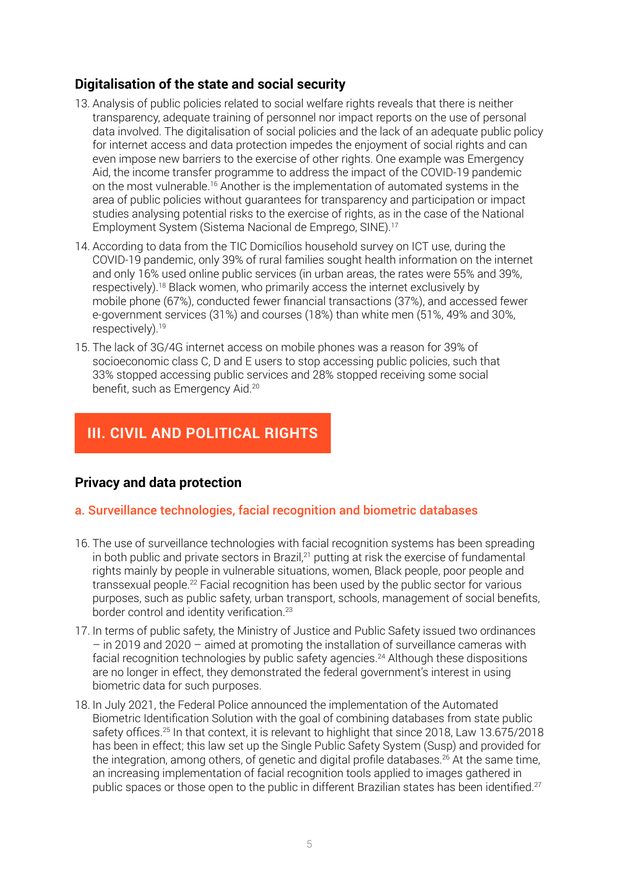## **Digitalisation of the state and social security**

- 13. Analysis of public policies related to social welfare rights reveals that there is neither transparency, adequate training of personnel nor impact reports on the use of personal data involved. The digitalisation of social policies and the lack of an adequate public policy for internet access and data protection impedes the enjoyment of social rights and can even impose new barriers to the exercise of other rights. One example was Emergency Aid, the income transfer programme to address the impact of the COVID-19 pandemic on the most vulnerable.16 Another is the implementation of automated systems in the area of public policies without guarantees for transparency and participation or impact studies analysing potential risks to the exercise of rights, as in the case of the National Employment System (Sistema Nacional de Emprego, SINE).17
- 14. According to data from the TIC Domicílios household survey on ICT use, during the COVID-19 pandemic, only 39% of rural families sought health information on the internet and only 16% used online public services (in urban areas, the rates were 55% and 39%, respectively).18 Black women, who primarily access the internet exclusively by mobile phone (67%), conducted fewer financial transactions (37%), and accessed fewer e-government services (31%) and courses (18%) than white men (51%, 49% and 30%, respectively).19
- 15. The lack of 3G/4G internet access on mobile phones was a reason for 39% of socioeconomic class C, D and E users to stop accessing public policies, such that 33% stopped accessing public services and 28% stopped receiving some social benefit, such as Emergency Aid.<sup>20</sup>

# **III. CIVIL AND POLITICAL RIGHTS**

## **Privacy and data protection**

## a. Surveillance technologies, facial recognition and biometric databases

- 16. The use of surveillance technologies with facial recognition systems has been spreading in both public and private sectors in Brazil,<sup>21</sup> putting at risk the exercise of fundamental rights mainly by people in vulnerable situations, women, Black people, poor people and transsexual people.<sup>22</sup> Facial recognition has been used by the public sector for various purposes, such as public safety, urban transport, schools, management of social benefits, border control and identity verification.<sup>23</sup>
- 17. In terms of public safety, the Ministry of Justice and Public Safety issued two ordinances – in 2019 and 2020 – aimed at promoting the installation of surveillance cameras with facial recognition technologies by public safety agencies.<sup>24</sup> Although these dispositions are no longer in effect, they demonstrated the federal government's interest in using biometric data for such purposes.
- 18. In July 2021, the Federal Police announced the implementation of the Automated Biometric Identification Solution with the goal of combining databases from state public safety offices.<sup>25</sup> In that context, it is relevant to highlight that since 2018, Law 13.675/2018 has been in effect; this law set up the Single Public Safety System (Susp) and provided for the integration, among others, of genetic and digital profile databases.26 At the same time, an increasing implementation of facial recognition tools applied to images gathered in public spaces or those open to the public in different Brazilian states has been identified.<sup>27</sup>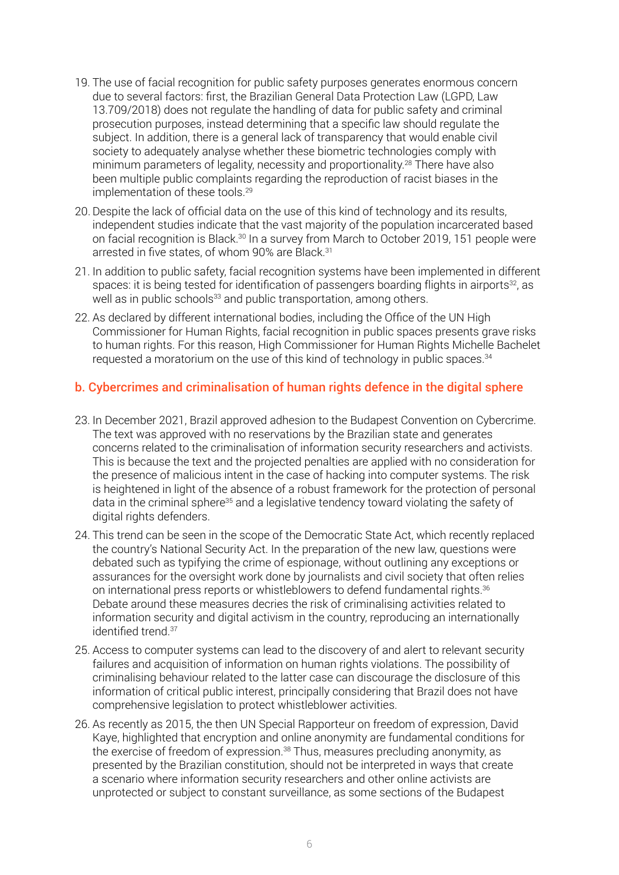- 19. The use of facial recognition for public safety purposes generates enormous concern due to several factors: first, the Brazilian General Data Protection Law (LGPD, Law 13.709/2018) does not regulate the handling of data for public safety and criminal prosecution purposes, instead determining that a specific law should regulate the subject. In addition, there is a general lack of transparency that would enable civil society to adequately analyse whether these biometric technologies comply with minimum parameters of legality, necessity and proportionality.<sup>28</sup> There have also been multiple public complaints regarding the reproduction of racist biases in the implementation of these tools.<sup>29</sup>
- 20. Despite the lack of official data on the use of this kind of technology and its results, independent studies indicate that the vast majority of the population incarcerated based on facial recognition is Black.30 In a survey from March to October 2019, 151 people were arrested in five states, of whom 90% are Black.<sup>31</sup>
- 21. In addition to public safety, facial recognition systems have been implemented in different spaces: it is being tested for identification of passengers boarding flights in airports<sup>32</sup>, as well as in public schools<sup>33</sup> and public transportation, among others.
- 22. As declared by different international bodies, including the Office of the UN High Commissioner for Human Rights, facial recognition in public spaces presents grave risks to human rights. For this reason, High Commissioner for Human Rights Michelle Bachelet requested a moratorium on the use of this kind of technology in public spaces.<sup>34</sup>

#### b. Cybercrimes and criminalisation of human rights defence in the digital sphere

- 23. In December 2021, Brazil approved adhesion to the Budapest Convention on Cybercrime. The text was approved with no reservations by the Brazilian state and generates concerns related to the criminalisation of information security researchers and activists. This is because the text and the projected penalties are applied with no consideration for the presence of malicious intent in the case of hacking into computer systems. The risk is heightened in light of the absence of a robust framework for the protection of personal data in the criminal sphere<sup>35</sup> and a legislative tendency toward violating the safety of digital rights defenders.
- 24. This trend can be seen in the scope of the Democratic State Act, which recently replaced the country's National Security Act. In the preparation of the new law, questions were debated such as typifying the crime of espionage, without outlining any exceptions or assurances for the oversight work done by journalists and civil society that often relies on international press reports or whistleblowers to defend fundamental rights.<sup>36</sup> Debate around these measures decries the risk of criminalising activities related to information security and digital activism in the country, reproducing an internationally identified trend.<sup>37</sup>
- 25. Access to computer systems can lead to the discovery of and alert to relevant security failures and acquisition of information on human rights violations. The possibility of criminalising behaviour related to the latter case can discourage the disclosure of this information of critical public interest, principally considering that Brazil does not have comprehensive legislation to protect whistleblower activities.
- 26. As recently as 2015, the then UN Special Rapporteur on freedom of expression, David Kaye, highlighted that encryption and online anonymity are fundamental conditions for the exercise of freedom of expression.<sup>38</sup> Thus, measures precluding anonymity, as presented by the Brazilian constitution, should not be interpreted in ways that create a scenario where information security researchers and other online activists are unprotected or subject to constant surveillance, as some sections of the Budapest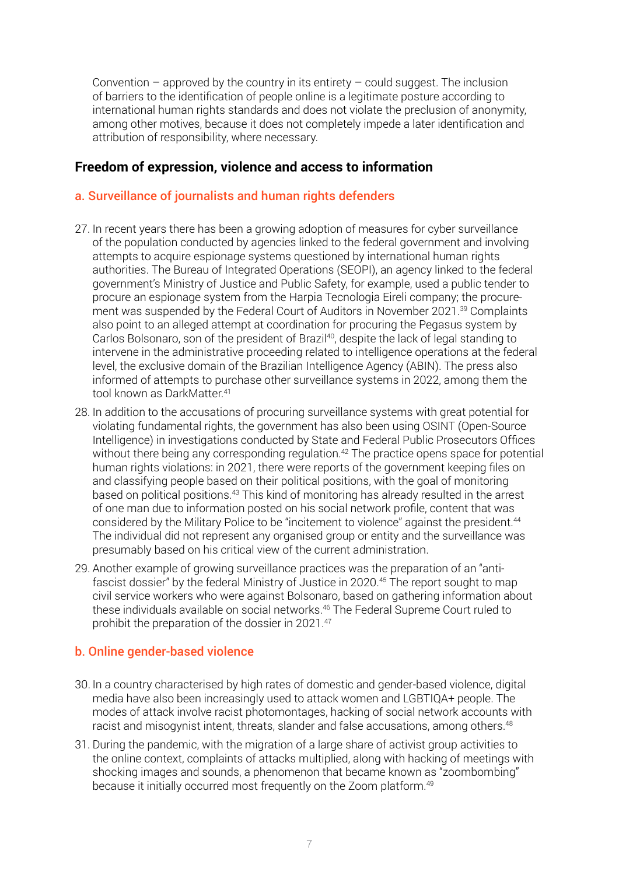Convention – approved by the country in its entirety – could suggest. The inclusion of barriers to the identification of people online is a legitimate posture according to international human rights standards and does not violate the preclusion of anonymity, among other motives, because it does not completely impede a later identification and attribution of responsibility, where necessary.

## **Freedom of expression, violence and access to information**

#### a. Surveillance of journalists and human rights defenders

- 27. In recent years there has been a growing adoption of measures for cyber surveillance of the population conducted by agencies linked to the federal government and involving attempts to acquire espionage systems questioned by international human rights authorities. The Bureau of Integrated Operations (SEOPI), an agency linked to the federal government's Ministry of Justice and Public Safety, for example, used a public tender to procure an espionage system from the Harpia Tecnologia Eireli company; the procurement was suspended by the Federal Court of Auditors in November 2021.<sup>39</sup> Complaints also point to an alleged attempt at coordination for procuring the Pegasus system by Carlos Bolsonaro, son of the president of Brazil<sup>40</sup>, despite the lack of legal standing to intervene in the administrative proceeding related to intelligence operations at the federal level, the exclusive domain of the Brazilian Intelligence Agency (ABIN). The press also informed of attempts to purchase other surveillance systems in 2022, among them the tool known as DarkMatter.<sup>41</sup>
- 28. In addition to the accusations of procuring surveillance systems with great potential for violating fundamental rights, the government has also been using OSINT (Open-Source Intelligence) in investigations conducted by State and Federal Public Prosecutors Offices without there being any corresponding regulation.<sup>42</sup> The practice opens space for potential human rights violations: in 2021, there were reports of the government keeping files on and classifying people based on their political positions, with the goal of monitoring based on political positions.43 This kind of monitoring has already resulted in the arrest of one man due to information posted on his social network profile, content that was considered by the Military Police to be "incitement to violence" against the president.<sup>44</sup> The individual did not represent any organised group or entity and the surveillance was presumably based on his critical view of the current administration.
- 29. Another example of growing surveillance practices was the preparation of an "antifascist dossier" by the federal Ministry of Justice in 2020.<sup>45</sup> The report sought to map civil service workers who were against Bolsonaro, based on gathering information about these individuals available on social networks.46 The Federal Supreme Court ruled to prohibit the preparation of the dossier in 2021.47

## b. Online gender-based violence

- 30. In a country characterised by high rates of domestic and gender-based violence, digital media have also been increasingly used to attack women and LGBTIQA+ people. The modes of attack involve racist photomontages, hacking of social network accounts with racist and misogynist intent, threats, slander and false accusations, among others.<sup>48</sup>
- 31. During the pandemic, with the migration of a large share of activist group activities to the online context, complaints of attacks multiplied, along with hacking of meetings with shocking images and sounds, a phenomenon that became known as "zoombombing" because it initially occurred most frequently on the Zoom platform.<sup>49</sup>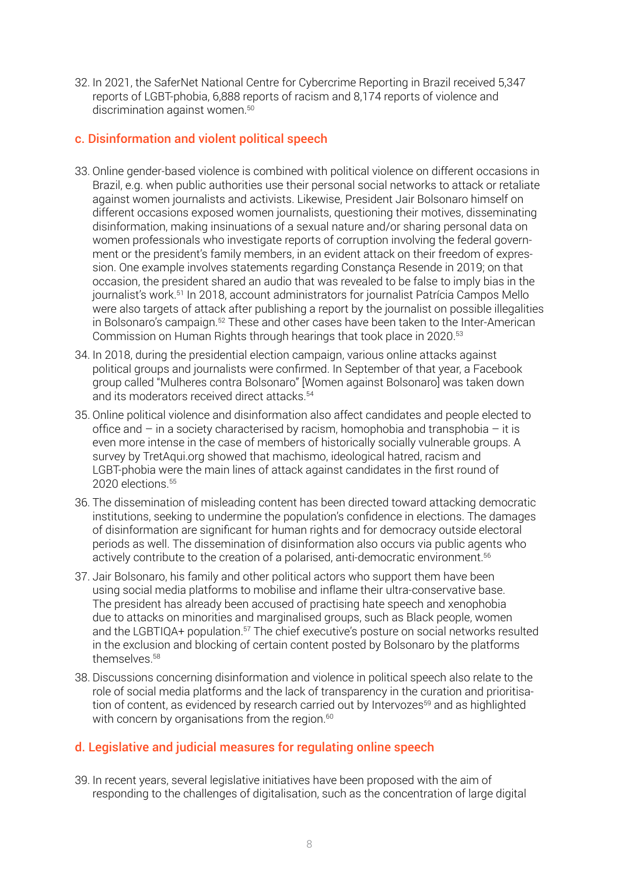32. In 2021, the SaferNet National Centre for Cybercrime Reporting in Brazil received 5,347 reports of LGBT-phobia, 6,888 reports of racism and 8,174 reports of violence and discrimination against women.<sup>50</sup>

#### c. Disinformation and violent political speech

- 33. Online gender-based violence is combined with political violence on different occasions in Brazil, e.g. when public authorities use their personal social networks to attack or retaliate against women journalists and activists. Likewise, President Jair Bolsonaro himself on different occasions exposed women journalists, questioning their motives, disseminating disinformation, making insinuations of a sexual nature and/or sharing personal data on women professionals who investigate reports of corruption involving the federal government or the president's family members, in an evident attack on their freedom of expression. One example involves statements regarding Constança Resende in 2019; on that occasion, the president shared an audio that was revealed to be false to imply bias in the journalist's work.51 In 2018, account administrators for journalist Patrícia Campos Mello were also targets of attack after publishing a report by the journalist on possible illegalities in Bolsonaro's campaign.<sup>52</sup> These and other cases have been taken to the Inter-American Commission on Human Rights through hearings that took place in 2020.53
- 34. In 2018, during the presidential election campaign, various online attacks against political groups and journalists were confirmed. In September of that year, a Facebook group called "Mulheres contra Bolsonaro" [Women against Bolsonaro] was taken down and its moderators received direct attacks.54
- 35. Online political violence and disinformation also affect candidates and people elected to office and  $-$  in a society characterised by racism, homophobia and transphobia  $-$  it is even more intense in the case of members of historically socially vulnerable groups. A survey by TretAqui.org showed that machismo, ideological hatred, racism and LGBT-phobia were the main lines of attack against candidates in the first round of 2020 elections.<sup>55</sup>
- 36. The dissemination of misleading content has been directed toward attacking democratic institutions, seeking to undermine the population's confidence in elections. The damages of disinformation are significant for human rights and for democracy outside electoral periods as well. The dissemination of disinformation also occurs via public agents who actively contribute to the creation of a polarised, anti-democratic environment.<sup>56</sup>
- 37. Jair Bolsonaro, his family and other political actors who support them have been using social media platforms to mobilise and inflame their ultra-conservative base. The president has already been accused of practising hate speech and xenophobia due to attacks on minorities and marginalised groups, such as Black people, women and the LGBTIQA+ population.<sup>57</sup> The chief executive's posture on social networks resulted in the exclusion and blocking of certain content posted by Bolsonaro by the platforms themselves.58
- 38. Discussions concerning disinformation and violence in political speech also relate to the role of social media platforms and the lack of transparency in the curation and prioritisation of content, as evidenced by research carried out by Intervozes<sup>59</sup> and as highlighted with concern by organisations from the region.<sup>60</sup>

## d. Legislative and judicial measures for regulating online speech

39. In recent years, several legislative initiatives have been proposed with the aim of responding to the challenges of digitalisation, such as the concentration of large digital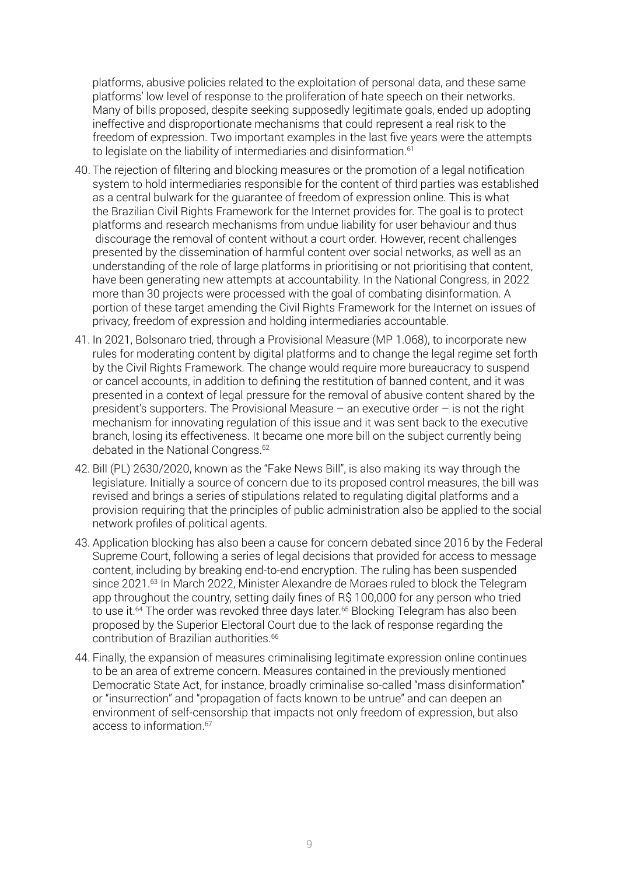platforms, abusive policies related to the exploitation of personal data, and these same platforms' low level of response to the proliferation of hate speech on their networks. Many of bills proposed, despite seeking supposedly legitimate goals, ended up adopting ineffective and disproportionate mechanisms that could represent a real risk to the freedom of expression. Two important examples in the last five years were the attempts to legislate on the liability of intermediaries and disinformation.<sup>61</sup>

- 40. The rejection of filtering and blocking measures or the promotion of a legal notification system to hold intermediaries responsible for the content of third parties was established as a central bulwark for the guarantee of freedom of expression online. This is what the Brazilian Civil Rights Framework for the Internet provides for. The goal is to protect platforms and research mechanisms from undue liability for user behaviour and thus discourage the removal of content without a court order. However, recent challenges presented by the dissemination of harmful content over social networks, as well as an understanding of the role of large platforms in prioritising or not prioritising that content, have been generating new attempts at accountability. In the National Congress, in 2022 more than 30 projects were processed with the goal of combating disinformation. A portion of these target amending the Civil Rights Framework for the Internet on issues of privacy, freedom of expression and holding intermediaries accountable.
- 41. In 2021, Bolsonaro tried, through a Provisional Measure (MP 1.068), to incorporate new rules for moderating content by digital platforms and to change the legal regime set forth by the Civil Rights Framework. The change would require more bureaucracy to suspend or cancel accounts, in addition to defining the restitution of banned content, and it was presented in a context of legal pressure for the removal of abusive content shared by the president's supporters. The Provisional Measure – an executive order – is not the right mechanism for innovating regulation of this issue and it was sent back to the executive branch, losing its effectiveness. It became one more bill on the subject currently being debated in the National Congress.<sup>62</sup>
- 42. Bill (PL) 2630/2020, known as the "Fake News Bill", is also making its way through the legislature. Initially a source of concern due to its proposed control measures, the bill was revised and brings a series of stipulations related to regulating digital platforms and a provision requiring that the principles of public administration also be applied to the social network profiles of political agents.
- 43. Application blocking has also been a cause for concern debated since 2016 by the Federal Supreme Court, following a series of legal decisions that provided for access to message content, including by breaking end-to-end encryption. The ruling has been suspended since 2021.<sup>63</sup> In March 2022, Minister Alexandre de Moraes ruled to block the Telegram app throughout the country, setting daily fines of R\$ 100,000 for any person who tried to use it.<sup>64</sup> The order was revoked three days later.<sup>65</sup> Blocking Telegram has also been proposed by the Superior Electoral Court due to the lack of response regarding the contribution of Brazilian authorities.<sup>66</sup>
- 44. Finally, the expansion of measures criminalising legitimate expression online continues to be an area of extreme concern. Measures contained in the previously mentioned Democratic State Act, for instance, broadly criminalise so-called "mass disinformation" or "insurrection" and "propagation of facts known to be untrue" and can deepen an environment of self-censorship that impacts not only freedom of expression, but also access to information.67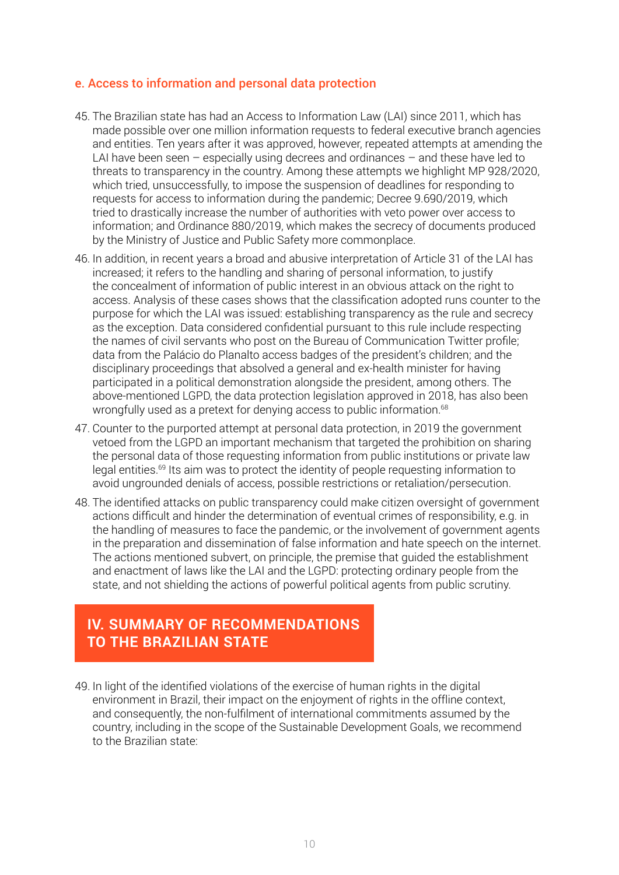#### e. Access to information and personal data protection

- 45. The Brazilian state has had an Access to Information Law (LAI) since 2011, which has made possible over one million information requests to federal executive branch agencies and entities. Ten years after it was approved, however, repeated attempts at amending the LAI have been seen – especially using decrees and ordinances – and these have led to threats to transparency in the country. Among these attempts we highlight MP 928/2020, which tried, unsuccessfully, to impose the suspension of deadlines for responding to requests for access to information during the pandemic; Decree 9.690/2019, which tried to drastically increase the number of authorities with veto power over access to information; and Ordinance 880/2019, which makes the secrecy of documents produced by the Ministry of Justice and Public Safety more commonplace.
- 46. In addition, in recent years a broad and abusive interpretation of Article 31 of the LAI has increased; it refers to the handling and sharing of personal information, to justify the concealment of information of public interest in an obvious attack on the right to access. Analysis of these cases shows that the classification adopted runs counter to the purpose for which the LAI was issued: establishing transparency as the rule and secrecy as the exception. Data considered confidential pursuant to this rule include respecting the names of civil servants who post on the Bureau of Communication Twitter profile; data from the Palácio do Planalto access badges of the president's children; and the disciplinary proceedings that absolved a general and ex-health minister for having participated in a political demonstration alongside the president, among others. The above-mentioned LGPD, the data protection legislation approved in 2018, has also been wrongfully used as a pretext for denying access to public information.<sup>68</sup>
- 47. Counter to the purported attempt at personal data protection, in 2019 the government vetoed from the LGPD an important mechanism that targeted the prohibition on sharing the personal data of those requesting information from public institutions or private law legal entities.69 Its aim was to protect the identity of people requesting information to avoid ungrounded denials of access, possible restrictions or retaliation/persecution.
- 48. The identified attacks on public transparency could make citizen oversight of government actions difficult and hinder the determination of eventual crimes of responsibility, e.g. in the handling of measures to face the pandemic, or the involvement of government agents in the preparation and dissemination of false information and hate speech on the internet. The actions mentioned subvert, on principle, the premise that guided the establishment and enactment of laws like the LAI and the LGPD: protecting ordinary people from the state, and not shielding the actions of powerful political agents from public scrutiny.

# **IV. SUMMARY OF RECOMMENDATIONS TO THE BRAZILIAN STATE**

49. In light of the identified violations of the exercise of human rights in the digital environment in Brazil, their impact on the enjoyment of rights in the offline context, and consequently, the non-fulfilment of international commitments assumed by the country, including in the scope of the Sustainable Development Goals, we recommend to the Brazilian state: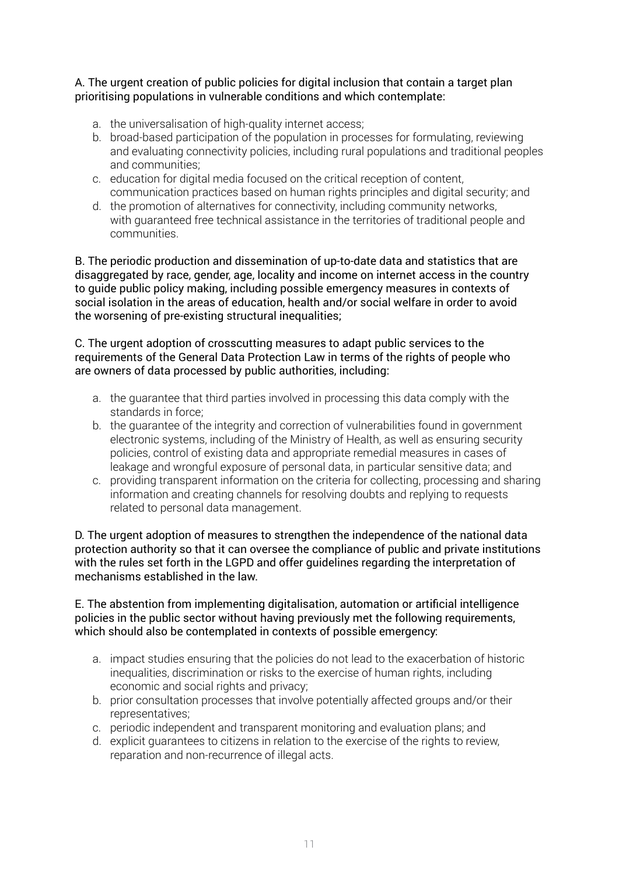#### A. The urgent creation of public policies for digital inclusion that contain a target plan prioritising populations in vulnerable conditions and which contemplate:

- a. the universalisation of high-quality internet access;
- b. broad-based participation of the population in processes for formulating, reviewing and evaluating connectivity policies, including rural populations and traditional peoples and communities;
- c. education for digital media focused on the critical reception of content, communication practices based on human rights principles and digital security; and
- d. the promotion of alternatives for connectivity, including community networks, with guaranteed free technical assistance in the territories of traditional people and communities.

B. The periodic production and dissemination of up-to-date data and statistics that are disaggregated by race, gender, age, locality and income on internet access in the country to guide public policy making, including possible emergency measures in contexts of social isolation in the areas of education, health and/or social welfare in order to avoid the worsening of pre-existing structural inequalities;

C. The urgent adoption of crosscutting measures to adapt public services to the requirements of the General Data Protection Law in terms of the rights of people who are owners of data processed by public authorities, including:

- a. the guarantee that third parties involved in processing this data comply with the standards in force;
- b. the guarantee of the integrity and correction of vulnerabilities found in government electronic systems, including of the Ministry of Health, as well as ensuring security policies, control of existing data and appropriate remedial measures in cases of leakage and wrongful exposure of personal data, in particular sensitive data; and
- c. providing transparent information on the criteria for collecting, processing and sharing information and creating channels for resolving doubts and replying to requests related to personal data management.

D. The urgent adoption of measures to strengthen the independence of the national data protection authority so that it can oversee the compliance of public and private institutions with the rules set forth in the LGPD and offer guidelines regarding the interpretation of mechanisms established in the law.

#### E. The abstention from implementing digitalisation, automation or artificial intelligence policies in the public sector without having previously met the following requirements, which should also be contemplated in contexts of possible emergency:

- a. impact studies ensuring that the policies do not lead to the exacerbation of historic inequalities, discrimination or risks to the exercise of human rights, including economic and social rights and privacy;
- b. prior consultation processes that involve potentially affected groups and/or their representatives;
- c. periodic independent and transparent monitoring and evaluation plans; and
- d. explicit guarantees to citizens in relation to the exercise of the rights to review, reparation and non-recurrence of illegal acts.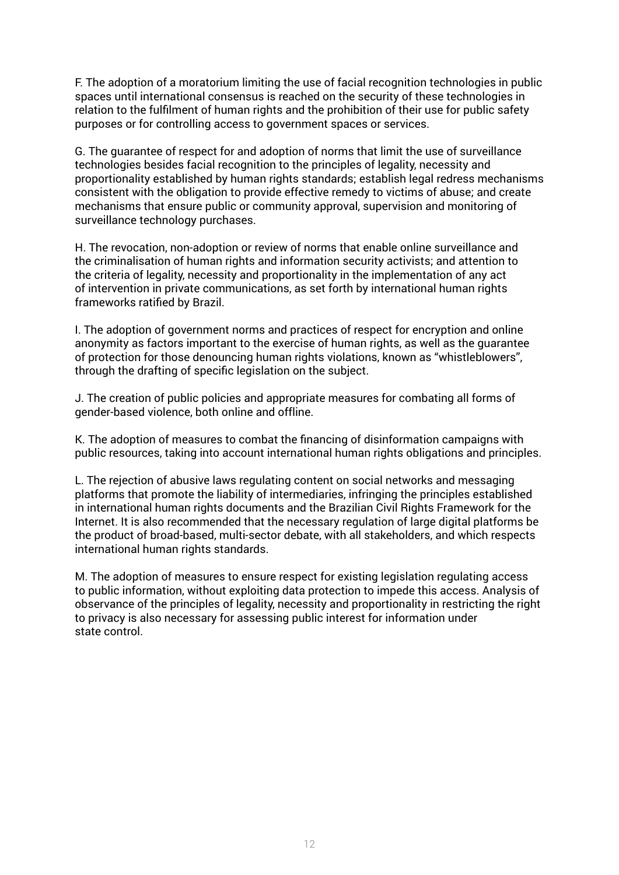F. The adoption of a moratorium limiting the use of facial recognition technologies in public spaces until international consensus is reached on the security of these technologies in relation to the fulfilment of human rights and the prohibition of their use for public safety purposes or for controlling access to government spaces or services.

G. The guarantee of respect for and adoption of norms that limit the use of surveillance technologies besides facial recognition to the principles of legality, necessity and proportionality established by human rights standards; establish legal redress mechanisms consistent with the obligation to provide effective remedy to victims of abuse; and create mechanisms that ensure public or community approval, supervision and monitoring of surveillance technology purchases.

H. The revocation, non-adoption or review of norms that enable online surveillance and the criminalisation of human rights and information security activists; and attention to the criteria of legality, necessity and proportionality in the implementation of any act of intervention in private communications, as set forth by international human rights frameworks ratified by Brazil.

I. The adoption of government norms and practices of respect for encryption and online anonymity as factors important to the exercise of human rights, as well as the guarantee of protection for those denouncing human rights violations, known as "whistleblowers", through the drafting of specific legislation on the subject.

J. The creation of public policies and appropriate measures for combating all forms of gender-based violence, both online and offline.

K. The adoption of measures to combat the financing of disinformation campaigns with public resources, taking into account international human rights obligations and principles.

L. The rejection of abusive laws regulating content on social networks and messaging platforms that promote the liability of intermediaries, infringing the principles established in international human rights documents and the Brazilian Civil Rights Framework for the Internet. It is also recommended that the necessary regulation of large digital platforms be the product of broad-based, multi-sector debate, with all stakeholders, and which respects international human rights standards.

M. The adoption of measures to ensure respect for existing legislation regulating access to public information, without exploiting data protection to impede this access. Analysis of observance of the principles of legality, necessity and proportionality in restricting the right to privacy is also necessary for assessing public interest for information under state control.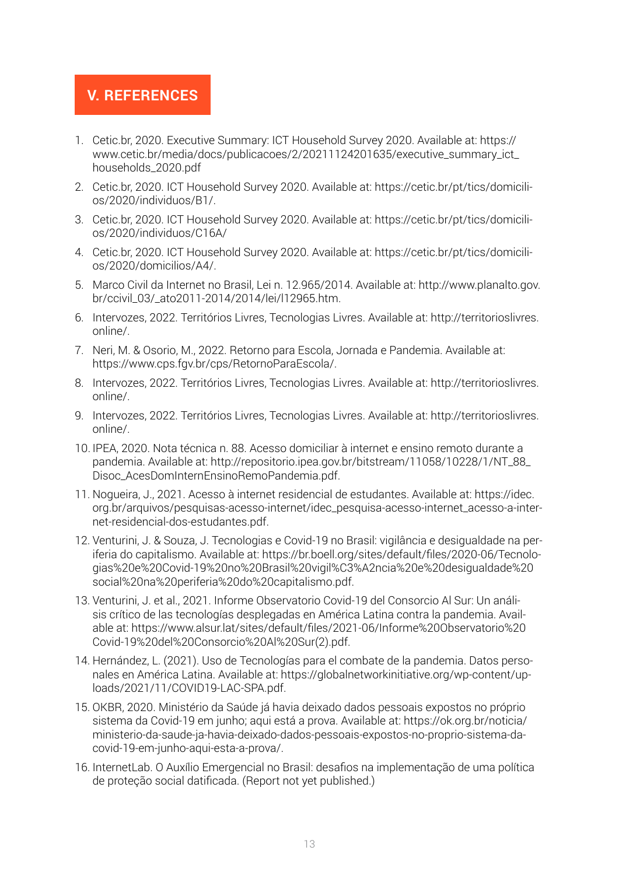## **V. REFERENCES**

- 1. Cetic.br, 2020. Executive Summary: ICT Household Survey 2020. Available at: [https://](https://www.cetic.br/media/docs/publicacoes/2/20211124201635/executive_summary_ict_households_2020.pdf) [www.cetic.br/media/docs/publicacoes/2/20211124201635/executive\\_summary\\_ict\\_](https://www.cetic.br/media/docs/publicacoes/2/20211124201635/executive_summary_ict_households_2020.pdf) [households\\_2020.pdf](https://www.cetic.br/media/docs/publicacoes/2/20211124201635/executive_summary_ict_households_2020.pdf)
- 2. Cetic.br, 2020. ICT Household Survey 2020. Available at: [https://cetic.br/pt/tics/domicili](https://cetic.br/pt/tics/domicilios/2020/individuos/B1/)[os/2020/individuos/B1/](https://cetic.br/pt/tics/domicilios/2020/individuos/B1/).
- 3. Cetic.br, 2020. ICT Household Survey 2020. Available at: [https://cetic.br/pt/tics/domicili](https://cetic.br/pt/tics/domicilios/2020/individuos/C16A/)[os/2020/individuos/C16A/](https://cetic.br/pt/tics/domicilios/2020/individuos/C16A/)
- 4. Cetic.br, 2020. ICT Household Survey 2020. Available at: [https://cetic.br/pt/tics/domicili](https://cetic.br/pt/tics/domicilios/2020/domicilios/A4/)[os/2020/domicilios/A4/.](https://cetic.br/pt/tics/domicilios/2020/domicilios/A4/)
- 5. Marco Civil da Internet no Brasil, Lei n. 12.965/2014. Available at: [http://www.planalto.gov.](http://www.planalto.gov.br/ccivil_03/_ato2011-2014/2014/lei/l12965.htm) [br/ccivil\\_03/\\_ato2011-2014/2014/lei/l12965.htm.](http://www.planalto.gov.br/ccivil_03/_ato2011-2014/2014/lei/l12965.htm)
- 6. Intervozes, 2022. Territórios Livres, Tecnologias Livres. Available at: [http://territorioslivres.](http://territorioslivres.online/) [online/](http://territorioslivres.online/).
- 7. Neri, M. & Osorio, M., 2022. Retorno para Escola, Jornada e Pandemia. Available at: <https://www.cps.fgv.br/cps/RetornoParaEscola/>.
- 8. Intervozes, 2022. Territórios Livres, Tecnologias Livres. Available at: [http://territorioslivres.](http://territorioslivres.online/) [online/](http://territorioslivres.online/).
- 9. Intervozes, 2022. Territórios Livres, Tecnologias Livres. Available at: http://territorioslivres. online/.
- 10. IPEA, 2020. Nota técnica n. 88. Acesso domiciliar à internet e ensino remoto durante a pandemia. Available at: [http://repositorio.ipea.gov.br/bitstream/11058/10228/1/NT\\_88\\_](http://repositorio.ipea.gov.br/bitstream/11058/10228/1/NT_88_Disoc_AcesDomInternEnsinoRemoPandemia.pdf) [Disoc\\_AcesDomInternEnsinoRemoPandemia.pdf.](http://repositorio.ipea.gov.br/bitstream/11058/10228/1/NT_88_Disoc_AcesDomInternEnsinoRemoPandemia.pdf)
- 11. Nogueira, J., 2021. Acesso à internet residencial de estudantes. Available at: [https://idec.](https://idec.org.br/arquivos/pesquisas-acesso-internet/idec_pesquisa-acesso-internet_acesso-a-internet-residencial-dos-estudantes.pdf) [org.br/arquivos/pesquisas-acesso-internet/idec\\_pesquisa-acesso-internet\\_acesso-a-inter](https://idec.org.br/arquivos/pesquisas-acesso-internet/idec_pesquisa-acesso-internet_acesso-a-internet-residencial-dos-estudantes.pdf)[net-residencial-dos-estudantes.pdf](https://idec.org.br/arquivos/pesquisas-acesso-internet/idec_pesquisa-acesso-internet_acesso-a-internet-residencial-dos-estudantes.pdf).
- 12. Venturini, J. & Souza, J. Tecnologias e Covid-19 no Brasil: vigilância e desigualdade na periferia do capitalismo. Available at: [https://br.boell.org/sites/default/files/2020-06/Tecnolo](https://br.boell.org/sites/default/files/2020-06/Tecnologias%20e%20Covid-19%20no%20Brasil%20vigil%C3%A2ncia%20e%20desigualdade%20social%20na%20periferia%20do%20capitalismo.pdf)[gias%20e%20Covid-19%20no%20Brasil%20vigil%C3%A2ncia%20e%20desigualdade%20](https://br.boell.org/sites/default/files/2020-06/Tecnologias%20e%20Covid-19%20no%20Brasil%20vigil%C3%A2ncia%20e%20desigualdade%20social%20na%20periferia%20do%20capitalismo.pdf) [social%20na%20periferia%20do%20capitalismo.pdf](https://br.boell.org/sites/default/files/2020-06/Tecnologias%20e%20Covid-19%20no%20Brasil%20vigil%C3%A2ncia%20e%20desigualdade%20social%20na%20periferia%20do%20capitalismo.pdf).
- 13. Venturini, J. et al., 2021. Informe Observatorio Covid-19 del Consorcio Al Sur: Un análisis crítico de las tecnologías desplegadas en América Latina contra la pandemia. Available at: [https://www.alsur.lat/sites/default/files/2021-06/Informe%20Observatorio%20](https://www.alsur.lat/sites/default/files/2021-06/Informe%20Observatorio%20Covid-19%20del%20Consorcio%20Al%20Sur(2).pdf) [Covid-19%20del%20Consorcio%20Al%20Sur\(2\).pdf.](https://www.alsur.lat/sites/default/files/2021-06/Informe%20Observatorio%20Covid-19%20del%20Consorcio%20Al%20Sur(2).pdf)
- 14. Hernández, L. (2021). Uso de Tecnologías para el combate de la pandemia. Datos personales en América Latina. Available at: [https://globalnetworkinitiative.org/wp-content/up](https://globalnetworkinitiative.org/wp-content/uploads/2021/11/COVID19-LAC-SPA.pdf)[loads/2021/11/COVID19-LAC-SPA.pdf.](https://globalnetworkinitiative.org/wp-content/uploads/2021/11/COVID19-LAC-SPA.pdf)
- 15. OKBR, 2020. Ministério da Saúde já havia deixado dados pessoais expostos no próprio sistema da Covid-19 em junho; aqui está a prova. Available at: [https://ok.org.br/noticia/](https://ok.org.br/noticia/ministerio-da-saude-ja-havia-deixado-dados-pessoais-expostos-no-proprio-sistema-da-covid-19-em-junho-aqui-esta-a-prova/) [ministerio-da-saude-ja-havia-deixado-dados-pessoais-expostos-no-proprio-sistema-da](https://ok.org.br/noticia/ministerio-da-saude-ja-havia-deixado-dados-pessoais-expostos-no-proprio-sistema-da-covid-19-em-junho-aqui-esta-a-prova/)[covid-19-em-junho-aqui-esta-a-prova/](https://ok.org.br/noticia/ministerio-da-saude-ja-havia-deixado-dados-pessoais-expostos-no-proprio-sistema-da-covid-19-em-junho-aqui-esta-a-prova/).
- 16. InternetLab. O Auxílio Emergencial no Brasil: desafios na implementação de uma política de proteção social datificada. (Report not yet published.)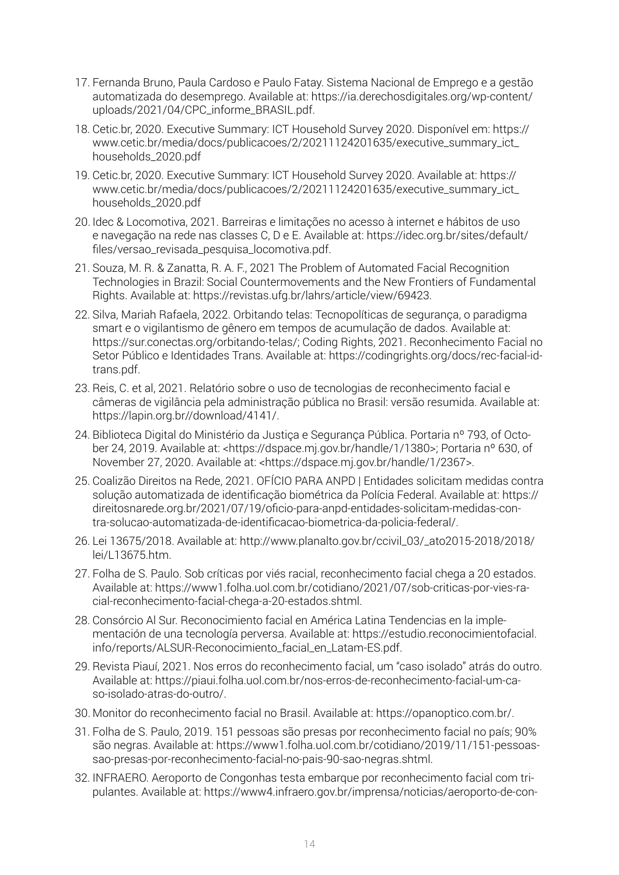- 17. Fernanda Bruno, Paula Cardoso e Paulo Fatay. Sistema Nacional de Emprego e a gestão automatizada do desemprego. Available at: [https://ia.derechosdigitales.org/wp-content/](https://ia.derechosdigitales.org/wp-content/uploads/2021/04/CPC_informe_BRASIL.pdf) [uploads/2021/04/CPC\\_informe\\_BRASIL.pdf.](https://ia.derechosdigitales.org/wp-content/uploads/2021/04/CPC_informe_BRASIL.pdf)
- 18. Cetic.br, 2020. Executive Summary: ICT Household Survey 2020. Disponível em: [https://](https://www.cetic.br/media/docs/publicacoes/2/20211124201635/executive_summary_ict_households_2020.pdf) [www.cetic.br/media/docs/publicacoes/2/20211124201635/executive\\_summary\\_ict\\_](https://www.cetic.br/media/docs/publicacoes/2/20211124201635/executive_summary_ict_households_2020.pdf) [households\\_2020.pdf](https://www.cetic.br/media/docs/publicacoes/2/20211124201635/executive_summary_ict_households_2020.pdf)
- 19. Cetic.br, 2020. Executive Summary: ICT Household Survey 2020. Available at: [https://](https://www.cetic.br/media/docs/publicacoes/2/20211124201635/executive_summary_ict_households_2020.pdf) [www.cetic.br/media/docs/publicacoes/2/20211124201635/executive\\_summary\\_ict\\_](https://www.cetic.br/media/docs/publicacoes/2/20211124201635/executive_summary_ict_households_2020.pdf) [households\\_2020.pdf](https://www.cetic.br/media/docs/publicacoes/2/20211124201635/executive_summary_ict_households_2020.pdf)
- 20. Idec & Locomotiva, 2021. Barreiras e limitações no acesso à internet e hábitos de uso e navegação na rede nas classes C, D e E. Available at: [https://idec.org.br/sites/default/](https://idec.org.br/sites/default/files/versao_revisada_pesquisa_locomotiva.pdf) [files/versao\\_revisada\\_pesquisa\\_locomotiva.pdf](https://idec.org.br/sites/default/files/versao_revisada_pesquisa_locomotiva.pdf).
- 21. Souza, M. R. & Zanatta, R. A. F., 2021 The Problem of Automated Facial Recognition Technologies in Brazil: Social Countermovements and the New Frontiers of Fundamental Rights. Available at: <https://revistas.ufg.br/lahrs/article/view/69423>.
- 22. Silva, Mariah Rafaela, 2022. Orbitando telas: Tecnopolíticas de segurança, o paradigma smart e o vigilantismo de gênero em tempos de acumulação de dados. Available at: https://sur.conectas.org/orbitando-telas/; Coding Rights, 2021. Reconhecimento Facial no Setor Público e Identidades Trans. Available at: [https://codingrights.org/docs/rec-facial-id](https://codingrights.org/docs/rec-facial-id-trans.pdf)[trans.pdf.](https://codingrights.org/docs/rec-facial-id-trans.pdf)
- 23. Reis, C. et al, 2021. Relatório sobre o uso de tecnologias de reconhecimento facial e câmeras de vigilância pela administração pública no Brasil: versão resumida. Available at: <https://lapin.org.br//download/4141/>.
- 24. Biblioteca Digital do Ministério da Justiça e Segurança Pública. Portaria nº 793, of October 24, 2019. Available at: [<https://dspace.mj.gov.br/handle/1/1380>](https://dspace.mj.gov.br/handle/1/1380); Portaria nº 630, of November 27, 2020. Available at: <<https://dspace.mj.gov.br/handle/1/2367>>.
- 25. Coalizão Direitos na Rede, 2021. OFÍCIO PARA ANPD | Entidades solicitam medidas contra solução automatizada de identificação biométrica da Polícia Federal. Available at: [https://](https://direitosnarede.org.br/2021/07/19/oficio-para-anpd-entidades-solicitam-medidas-contra-solucao-automatizada-de-identificacao-biometrica-da-policia-federal/) [direitosnarede.org.br/2021/07/19/oficio-para-anpd-entidades-solicitam-medidas-con](https://direitosnarede.org.br/2021/07/19/oficio-para-anpd-entidades-solicitam-medidas-contra-solucao-automatizada-de-identificacao-biometrica-da-policia-federal/)[tra-solucao-automatizada-de-identificacao-biometrica-da-policia-federal/.](https://direitosnarede.org.br/2021/07/19/oficio-para-anpd-entidades-solicitam-medidas-contra-solucao-automatizada-de-identificacao-biometrica-da-policia-federal/)
- 26. Lei 13675/2018. Available at: [http://www.planalto.gov.br/ccivil\\_03/\\_ato2015-2018/2018/](http://www.planalto.gov.br/ccivil_03/_ato2015-2018/2018/lei/L13675.htm) [lei/L13675.htm](http://www.planalto.gov.br/ccivil_03/_ato2015-2018/2018/lei/L13675.htm).
- 27. Folha de S. Paulo. Sob críticas por viés racial, reconhecimento facial chega a 20 estados. Available at: [https://www1.folha.uol.com.br/cotidiano/2021/07/sob-criticas-por-vies-ra](https://www1.folha.uol.com.br/cotidiano/2021/07/sob-criticas-por-vies-racial-reconhecimento-facial-chega-a-20-estados.shtml)[cial-reconhecimento-facial-chega-a-20-estados.shtml.](https://www1.folha.uol.com.br/cotidiano/2021/07/sob-criticas-por-vies-racial-reconhecimento-facial-chega-a-20-estados.shtml)
- 28. Consórcio Al Sur. Reconocimiento facial en América Latina Tendencias en la implementación de una tecnología perversa. Available at: [https://estudio.reconocimientofacial.](https://estudio.reconocimientofacial.info/reports/ALSUR-Reconocimiento_facial_en_Latam-ES.pdf) [info/reports/ALSUR-Reconocimiento\\_facial\\_en\\_Latam-ES.pdf.](https://estudio.reconocimientofacial.info/reports/ALSUR-Reconocimiento_facial_en_Latam-ES.pdf)
- 29. Revista Piauí, 2021. Nos erros do reconhecimento facial, um "caso isolado" atrás do outro. Available at: [https://piaui.folha.uol.com.br/nos-erros-de-reconhecimento-facial-um-ca](https://piaui.folha.uol.com.br/nos-erros-de-reconhecimento-facial-um-caso-isolado-atras-do-outro/)[so-isolado-atras-do-outro/](https://piaui.folha.uol.com.br/nos-erros-de-reconhecimento-facial-um-caso-isolado-atras-do-outro/).
- 30. Monitor do reconhecimento facial no Brasil. Available at: <https://opanoptico.com.br/>.
- 31. Folha de S. Paulo, 2019. 151 pessoas são presas por reconhecimento facial no país; 90% são negras. Available at: [https://www1.folha.uol.com.br/cotidiano/2019/11/151-pessoas](https://www1.folha.uol.com.br/cotidiano/2019/11/151-pessoas-sao-presas-por-reconhecimento-facial-no-pais-90-sao-negras.shtml)[sao-presas-por-reconhecimento-facial-no-pais-90-sao-negras.shtml](https://www1.folha.uol.com.br/cotidiano/2019/11/151-pessoas-sao-presas-por-reconhecimento-facial-no-pais-90-sao-negras.shtml).
- 32. INFRAERO. Aeroporto de Congonhas testa embarque por reconhecimento facial com tripulantes. Available at: [https://www4.infraero.gov.br/imprensa/noticias/aeroporto-de-con-](https://www4.infraero.gov.br/imprensa/noticias/aeroporto-de-congonhas-testa-embarque-por-reconhecimento-facial-com-tripulantes)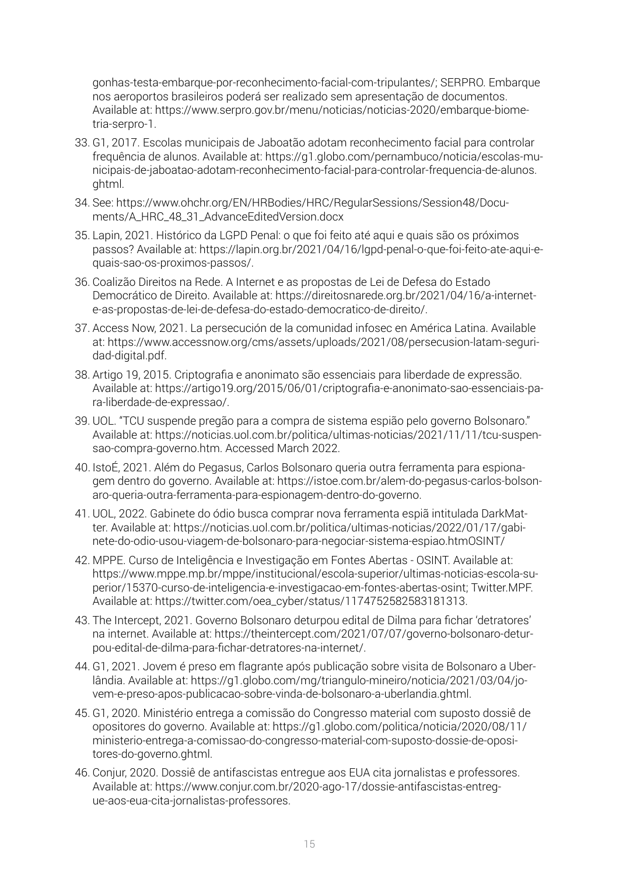[gonhas-testa-embarque-por-reconhecimento-facial-com-tripulantes](https://www4.infraero.gov.br/imprensa/noticias/aeroporto-de-congonhas-testa-embarque-por-reconhecimento-facial-com-tripulantes)/; SERPRO. Embarque nos aeroportos brasileiros poderá ser realizado sem apresentação de documentos. Available at: [https://www.serpro.gov.br/menu/noticias/noticias-2020/embarque-biome](https://www.serpro.gov.br/menu/noticias/noticias-2020/embarque-biometria-serpro-1)[tria-serpro-1](https://www.serpro.gov.br/menu/noticias/noticias-2020/embarque-biometria-serpro-1).

- 33. G1, 2017. Escolas municipais de Jaboatão adotam reconhecimento facial para controlar frequência de alunos. Available at: [https://g1.globo.com/pernambuco/noticia/escolas-mu](https://g1.globo.com/pernambuco/noticia/escolas-municipais-de-jaboatao-adotam-reconhecimento-facial-para-controlar-frequencia-de-alunos.ghtml)[nicipais-de-jaboatao-adotam-reconhecimento-facial-para-controlar-frequencia-de-alunos.](https://g1.globo.com/pernambuco/noticia/escolas-municipais-de-jaboatao-adotam-reconhecimento-facial-para-controlar-frequencia-de-alunos.ghtml) [ghtml](https://g1.globo.com/pernambuco/noticia/escolas-municipais-de-jaboatao-adotam-reconhecimento-facial-para-controlar-frequencia-de-alunos.ghtml).
- 34. See: [https://www.ohchr.org/EN/HRBodies/HRC/RegularSessions/Session48/Docu](https://www.ohchr.org/EN/HRBodies/HRC/RegularSessions/Session48/Documents/A_HRC_48_31_AdvanceEditedVersion.docx)[ments/A\\_HRC\\_48\\_31\\_AdvanceEditedVersion.docx](https://www.ohchr.org/EN/HRBodies/HRC/RegularSessions/Session48/Documents/A_HRC_48_31_AdvanceEditedVersion.docx)
- 35. Lapin, 2021. Histórico da LGPD Penal: o que foi feito até aqui e quais são os próximos passos? Available at: [https://lapin.org.br/2021/04/16/lgpd-penal-o-que-foi-feito-ate-aqui-e](https://lapin.org.br/2021/04/16/lgpd-penal-o-que-foi-feito-ate-aqui-e-quais-sao-os-proximos-passos/)[quais-sao-os-proximos-passos/.](https://lapin.org.br/2021/04/16/lgpd-penal-o-que-foi-feito-ate-aqui-e-quais-sao-os-proximos-passos/)
- 36. Coalizão Direitos na Rede. A Internet e as propostas de Lei de Defesa do Estado Democrático de Direito. Available at: [https://direitosnarede.org.br/2021/04/16/a-internet](https://direitosnarede.org.br/2021/04/16/a-internet-e-as-propostas-de-lei-de-defesa-do-estado-democratico-de-direito/)[e-as-propostas-de-lei-de-defesa-do-estado-democratico-de-direito/.](https://direitosnarede.org.br/2021/04/16/a-internet-e-as-propostas-de-lei-de-defesa-do-estado-democratico-de-direito/)
- 37. Access Now, 2021. La persecución de la comunidad infosec en América Latina. Available at: [https://www.accessnow.org/cms/assets/uploads/2021/08/persecusion-latam-seguri](https://www.accessnow.org/cms/assets/uploads/2021/08/persecusion-latam-seguridad-digital.pdf)[dad-digital.pdf](https://www.accessnow.org/cms/assets/uploads/2021/08/persecusion-latam-seguridad-digital.pdf).
- 38. Artigo 19, 2015. Criptografia e anonimato são essenciais para liberdade de expressão. Available at: [https://artigo19.org/2015/06/01/criptografia-e-anonimato-sao-essenciais-pa](https://artigo19.org/2015/06/01/criptografia-e-anonimato-sao-essenciais-para-liberdade-de-expressao/)[ra-liberdade-de-expressao/](https://artigo19.org/2015/06/01/criptografia-e-anonimato-sao-essenciais-para-liberdade-de-expressao/).
- 39. UOL. "TCU suspende pregão para a compra de sistema espião pelo governo Bolsonaro." Available at: [https://noticias.uol.com.br/politica/ultimas-noticias/2021/11/11/tcu-suspen](https://noticias.uol.com.br/politica/ultimas-noticias/2021/11/11/tcu-suspensao-compra-governo.htm)[sao-compra-governo.htm.](https://noticias.uol.com.br/politica/ultimas-noticias/2021/11/11/tcu-suspensao-compra-governo.htm) Accessed March 2022.
- 40. IstoÉ, 2021. Além do Pegasus, Carlos Bolsonaro queria outra ferramenta para espionagem dentro do governo. Available at: [https://istoe.com.br/alem-do-pegasus-carlos-bolson](https://istoe.com.br/alem-do-pegasus-carlos-bolsonaro-queria-outra-ferramenta-para-espionagem-dentro-do-governo)[aro-queria-outra-ferramenta-para-espionagem-dentro-do-governo](https://istoe.com.br/alem-do-pegasus-carlos-bolsonaro-queria-outra-ferramenta-para-espionagem-dentro-do-governo).
- 41. UOL, 2022. Gabinete do ódio busca comprar nova ferramenta espiã intitulada DarkMatter. Available at: [https://noticias.uol.com.br/politica/ultimas-noticias/2022/01/17/gabi](https://noticias.uol.com.br/politica/ultimas-noticias/2022/01/17/gabinete-do-odio-usou-viagem-de-bolsonaro-para-negociar-sistema-espiao.htmOSINT/)[nete-do-odio-usou-viagem-de-bolsonaro-para-negociar-sistema-espiao.htmOSINT/](https://noticias.uol.com.br/politica/ultimas-noticias/2022/01/17/gabinete-do-odio-usou-viagem-de-bolsonaro-para-negociar-sistema-espiao.htmOSINT/)
- 42. MPPE. Curso de Inteligência e Investigação em Fontes Abertas OSINT. Available at: [https://www.mppe.mp.br/mppe/institucional/escola-superior/ultimas-noticias-escola-su](https://www.mppe.mp.br/mppe/institucional/escola-superior/ultimas-noticias-escola-superior/15370-curso-de-inteligencia-e-investigacao-em-fontes-abertas-osint)[perior/15370-curso-de-inteligencia-e-investigacao-em-fontes-abertas-osint](https://www.mppe.mp.br/mppe/institucional/escola-superior/ultimas-noticias-escola-superior/15370-curso-de-inteligencia-e-investigacao-em-fontes-abertas-osint); Twitter.MPF. Available at: [https://twitter.com/oea\\_cyber/status/1174752582583181313.](https://twitter.com/oea_cyber/status/1174752582583181313)
- 43. The Intercept, 2021. Governo Bolsonaro deturpou edital de Dilma para fichar 'detratores' na internet. Available at: [https://theintercept.com/2021/07/07/governo-bolsonaro-detur](https://theintercept.com/2021/07/07/governo-bolsonaro-deturpou-edital-de-dilma-para-fichar-detratores-na-internet/)[pou-edital-de-dilma-para-fichar-detratores-na-internet/.](https://theintercept.com/2021/07/07/governo-bolsonaro-deturpou-edital-de-dilma-para-fichar-detratores-na-internet/)
- 44. G1, 2021. Jovem é preso em flagrante após publicação sobre visita de Bolsonaro a Uberlândia. Available at: [https://g1.globo.com/mg/triangulo-mineiro/noticia/2021/03/04/jo](https://g1.globo.com/mg/triangulo-mineiro/noticia/2021/03/04/jovem-e-preso-apos-publicacao-sobre-vinda-de-bolsonaro-a-uberlandia.ghtml)[vem-e-preso-apos-publicacao-sobre-vinda-de-bolsonaro-a-uberlandia.ghtml](https://g1.globo.com/mg/triangulo-mineiro/noticia/2021/03/04/jovem-e-preso-apos-publicacao-sobre-vinda-de-bolsonaro-a-uberlandia.ghtml).
- 45. G1, 2020. Ministério entrega a comissão do Congresso material com suposto dossiê de opositores do governo. Available at: [https://g1.globo.com/politica/noticia/2020/08/11/](http://ppless.asambleanacional.gob.ec/alfresco/d/d/workspace/SpacesStore/fe64d128-9fdc-46e9-8486-a329b48e3ec8/inf-2d-forme_sd_-_ley_libre_expresi%F3n_(comunicaci%F3n)_(1)-signed-signed_firmado-signed-signed-signed.pdf) [ministerio-entrega-a-comissao-do-congresso-material-com-suposto-dossie-de-oposi](http://ppless.asambleanacional.gob.ec/alfresco/d/d/workspace/SpacesStore/fe64d128-9fdc-46e9-8486-a329b48e3ec8/inf-2d-forme_sd_-_ley_libre_expresi%F3n_(comunicaci%F3n)_(1)-signed-signed_firmado-signed-signed-signed.pdf)[tores-do-governo.ghtml](http://ppless.asambleanacional.gob.ec/alfresco/d/d/workspace/SpacesStore/fe64d128-9fdc-46e9-8486-a329b48e3ec8/inf-2d-forme_sd_-_ley_libre_expresi%F3n_(comunicaci%F3n)_(1)-signed-signed_firmado-signed-signed-signed.pdf).
- 46. Conjur, 2020. Dossiê de antifascistas entregue aos EUA cita jornalistas e professores. Available at: [https://www.conjur.com.br/2020-ago-17/dossie-antifascistas-entreg](https://www.conjur.com.br/2020-ago-17/dossie-antifascistas-entregue-aos-eua-cita-jornalistas-professores)[ue-aos-eua-cita-jornalistas-professores](https://www.conjur.com.br/2020-ago-17/dossie-antifascistas-entregue-aos-eua-cita-jornalistas-professores).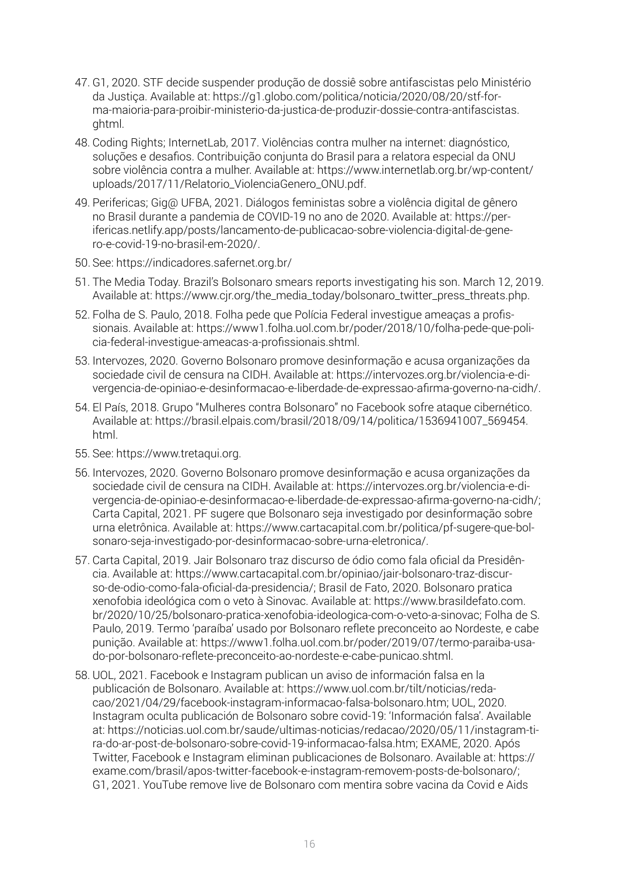- 47. G1, 2020. STF decide suspender produção de dossiê sobre antifascistas pelo Ministério da Justiça. Available at: [https://g1.globo.com/politica/noticia/2020/08/20/stf-for](https://g1.globo.com/politica/noticia/2020/08/20/stf-forma-maioria-para-proibir-ministerio-da-justica-de-produzir-dossie-contra-antifascistas.ghtml)[ma-maioria-para-proibir-ministerio-da-justica-de-produzir-dossie-contra-antifascistas.](https://g1.globo.com/politica/noticia/2020/08/20/stf-forma-maioria-para-proibir-ministerio-da-justica-de-produzir-dossie-contra-antifascistas.ghtml) [ghtml](https://g1.globo.com/politica/noticia/2020/08/20/stf-forma-maioria-para-proibir-ministerio-da-justica-de-produzir-dossie-contra-antifascistas.ghtml).
- 48. Coding Rights; InternetLab, 2017. Violências contra mulher na internet: diagnóstico, soluções e desafios. Contribuição conjunta do Brasil para a relatora especial da ONU sobre violência contra a mulher. Available at: [https://www.internetlab.org.br/wp-content/](https://www.internetlab.org.br/wp-content/uploads/2017/11/Relatorio_ViolenciaGenero_ONU.pdf) [uploads/2017/11/Relatorio\\_ViolenciaGenero\\_ONU.pdf.](https://www.internetlab.org.br/wp-content/uploads/2017/11/Relatorio_ViolenciaGenero_ONU.pdf)
- 49. Perifericas; Gig@ UFBA, 2021. Diálogos feministas sobre a violência digital de gênero no Brasil durante a pandemia de COVID-19 no ano de 2020. Available at: [https://per](https://perifericas.netlify.app/posts/lancamento-de-publicacao-sobre-violencia-digital-de-genero-e-covid-19-no-brasil-em-2020/)[ifericas.netlify.app/posts/lancamento-de-publicacao-sobre-violencia-digital-de-gene](https://perifericas.netlify.app/posts/lancamento-de-publicacao-sobre-violencia-digital-de-genero-e-covid-19-no-brasil-em-2020/)[ro-e-covid-19-no-brasil-em-2020/.](https://perifericas.netlify.app/posts/lancamento-de-publicacao-sobre-violencia-digital-de-genero-e-covid-19-no-brasil-em-2020/)
- 50. See: <https://indicadores.safernet.org.br/>
- 51. The Media Today. Brazil's Bolsonaro smears reports investigating his son. March 12, 2019. Available at: [https://www.cjr.org/the\\_media\\_today/bolsonaro\\_twitter\\_press\\_threats.php](https://www.cjr.org/the_media_today/bolsonaro_twitter_press_threats.php).
- 52. Folha de S. Paulo, 2018. Folha pede que Polícia Federal investigue ameaças a profissionais. Available at: [https://www1.folha.uol.com.br/poder/2018/10/folha-pede-que-poli](https://www1.folha.uol.com.br/poder/2018/10/folha-pede-que-policia-federal-investigue-ameacas-a-profissionais.shtml)[cia-federal-investigue-ameacas-a-profissionais.shtml.](https://www1.folha.uol.com.br/poder/2018/10/folha-pede-que-policia-federal-investigue-ameacas-a-profissionais.shtml)
- 53. Intervozes, 2020. Governo Bolsonaro promove desinformação e acusa organizações da sociedade civil de censura na CIDH. Available at: [https://intervozes.org.br/violencia-e-di](https://intervozes.org.br/violencia-e-divergencia-de-opiniao-e-desinformacao-e-liberdade-de-expressao-afirma-governo-na-cidh/)[vergencia-de-opiniao-e-desinformacao-e-liberdade-de-expressao-afirma-governo-na-cidh/.](https://intervozes.org.br/violencia-e-divergencia-de-opiniao-e-desinformacao-e-liberdade-de-expressao-afirma-governo-na-cidh/)
- 54. El País, 2018. Grupo "Mulheres contra Bolsonaro" no Facebook sofre ataque cibernético. Available at: [https://brasil.elpais.com/brasil/2018/09/14/politica/1536941007\\_569454.](https://brasil.elpais.com/brasil/2018/09/14/politica/1536941007_569454.html) [html](https://brasil.elpais.com/brasil/2018/09/14/politica/1536941007_569454.html).
- 55. See: [https://www.tretaqui.org.](https://www.tretaqui.org)
- 56. Intervozes, 2020. Governo Bolsonaro promove desinformação e acusa organizações da sociedade civil de censura na CIDH. Available at: [https://intervozes.org.br/violencia-e-di](https://intervozes.org.br/violencia-e-divergencia-de-opiniao-e-desinformacao-e-liberdade-de-expressao-afirma-governo-na-cidh/)[vergencia-de-opiniao-e-desinformacao-e-liberdade-de-expressao-afirma-governo-na-cidh/;](https://intervozes.org.br/violencia-e-divergencia-de-opiniao-e-desinformacao-e-liberdade-de-expressao-afirma-governo-na-cidh/) Carta Capital, 2021. PF sugere que Bolsonaro seja investigado por desinformação sobre urna eletrônica. Available at: [https://www.cartacapital.com.br/politica/pf-sugere-que-bol](https://www.cartacapital.com.br/politica/pf-sugere-que-bolsonaro-seja-investigado-por-desinformacao-sobre-urna-eletronica/)[sonaro-seja-investigado-por-desinformacao-sobre-urna-eletronica/.](https://www.cartacapital.com.br/politica/pf-sugere-que-bolsonaro-seja-investigado-por-desinformacao-sobre-urna-eletronica/)
- 57. Carta Capital, 2019. Jair Bolsonaro traz discurso de ódio como fala oficial da Presidência. Available at: [https://www.cartacapital.com.br/opiniao/jair-bolsonaro-traz-discur](https://www.cartacapital.com.br/opiniao/jair-bolsonaro-traz-discurso-de-odio-como-fala-oficial-da-presidencia/)[so-de-odio-como-fala-oficial-da-presidencia/;](https://www.cartacapital.com.br/opiniao/jair-bolsonaro-traz-discurso-de-odio-como-fala-oficial-da-presidencia/) Brasil de Fato, 2020. Bolsonaro pratica xenofobia ideológica com o veto à Sinovac. Available at: [https://www.brasildefato.com.](https://www.brasildefato.com.br/2020/10/25/bolsonaro-pratica-xenofobia-ideologica-com-o-veto-a-sinovac) [br/2020/10/25/bolsonaro-pratica-xenofobia-ideologica-com-o-veto-a-sinovac](https://www.brasildefato.com.br/2020/10/25/bolsonaro-pratica-xenofobia-ideologica-com-o-veto-a-sinovac); Folha de S. Paulo, 2019. Termo 'paraíba' usado por Bolsonaro reflete preconceito ao Nordeste, e cabe punição. Available at: [https://www1.folha.uol.com.br/poder/2019/07/termo-paraiba-usa](https://www1.folha.uol.com.br/poder/2019/07/termo-paraiba-usado-por-bolsonaro-reflete-preconceito-ao-nordeste-e-cabe-punicao.shtml)[do-por-bolsonaro-reflete-preconceito-ao-nordeste-e-cabe-punicao.shtml.](https://www1.folha.uol.com.br/poder/2019/07/termo-paraiba-usado-por-bolsonaro-reflete-preconceito-ao-nordeste-e-cabe-punicao.shtml)
- 58. UOL, 2021. Facebook e Instagram publican un aviso de información falsa en la publicación de Bolsonaro. Available at: [https://www.uol.com.br/tilt/noticias/reda](https://www.uol.com.br/tilt/noticias/redacao/2021/04/29/facebook-instagram-informacao-falsa-bolsonaro.htm)[cao/2021/04/29/facebook-instagram-informacao-falsa-bolsonaro.htm;](https://www.uol.com.br/tilt/noticias/redacao/2021/04/29/facebook-instagram-informacao-falsa-bolsonaro.htm) UOL, 2020. Instagram oculta publicación de Bolsonaro sobre covid-19: 'Información falsa'. Available at: [https://noticias.uol.com.br/saude/ultimas-noticias/redacao/2020/05/11/instagram-ti](https://noticias.uol.com.br/saude/ultimas-noticias/redacao/2020/05/11/instagram-tira-do-ar-post-de-bolsonaro-sobre-covid-19-informacao-falsa.htm)[ra-do-ar-post-de-bolsonaro-sobre-covid-19-informacao-falsa.htm;](https://noticias.uol.com.br/saude/ultimas-noticias/redacao/2020/05/11/instagram-tira-do-ar-post-de-bolsonaro-sobre-covid-19-informacao-falsa.htm) EXAME, 2020. Após Twitter, Facebook e Instagram eliminan publicaciones de Bolsonaro. Available at: [https://](https://exame.com/brasil/apos-twitter-facebook-e-instagram-removem-posts-de-bolsonaro/) [exame.com/brasil/apos-twitter-facebook-e-instagram-removem-posts-de-bolsonaro/;](https://exame.com/brasil/apos-twitter-facebook-e-instagram-removem-posts-de-bolsonaro/) G1, 2021. YouTube remove live de Bolsonaro com mentira sobre vacina da Covid e Aids